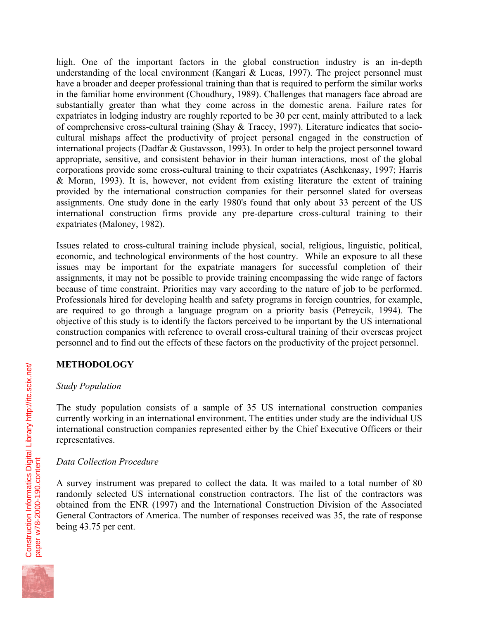high. One of the important factors in the global construction industry is an in-depth understanding of the local environment (Kangari & Lucas, 1997). The project personnel must have a broader and deeper professional training than that is required to perform the similar works in the familiar home environment (Choudhury, 1989). Challenges that managers face abroad are substantially greater than what they come across in the domestic arena. Failure rates for expatriates in lodging industry are roughly reported to be 30 per cent, mainly attributed to a lack of comprehensive cross-cultural training (Shay & Tracey, 1997). Literature indicates that sociocultural mishaps affect the productivity of project personal engaged in the construction of international projects (Dadfar & Gustavsson, 1993). In order to help the project personnel toward appropriate, sensitive, and consistent behavior in their human interactions, most of the global corporations provide some cross-cultural training to their expatriates (Aschkenasy, 1997; Harris & Moran, 1993). It is, however, not evident from existing literature the extent of training provided by the international construction companies for their personnel slated for overseas assignments. One study done in the early 1980's found that only about 33 percent of the US international construction firms provide any pre-departure cross-cultural training to their expatriates (Maloney, 1982).

Issues related to cross-cultural training include physical, social, religious, linguistic, political, economic, and technological environments of the host country. While an exposure to all these issues may be important for the expatriate managers for successful completion of their assignments, it may not be possible to provide training encompassing the wide range of factors because of time constraint. Priorities may vary according to the nature of job to be performed. Professionals hired for developing health and safety programs in foreign countries, for example, are required to go through a language program on a priority basis (Petreycik, 1994). The objective of this study is to identify the factors perceived to be important by the US international construction companies with reference to overall cross-cultural training of their overseas project personnel and to find out the effects of these factors on the productivity of the project personnel.

# **METHODOLOGY**

# *Study Population*

The study population consists of a sample of 35 US international construction companies currently working in an international environment. The entities under study are the individual US international construction companies represented either by the Chief Executive Officers or their representatives.

# *Data Collection Procedure*

A survey instrument was prepared to collect the data. It was mailed to a total number of 80 randomly selected US international construction contractors. The list of the contractors was obtained from the ENR (1997) and the International Construction Division of the Associated General Contractors of America. The number of responses received was 35, the rate of response being 43.75 per cent.

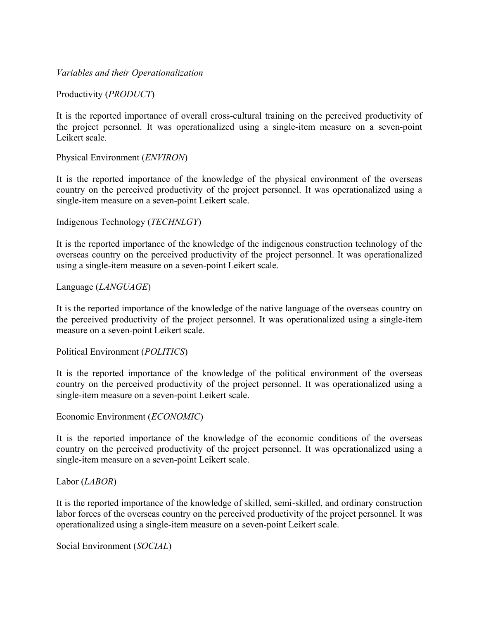*Variables and their Operationalization* 

Productivity (*PRODUCT*)

It is the reported importance of overall cross-cultural training on the perceived productivity of the project personnel. It was operationalized using a single-item measure on a seven-point Leikert scale.

Physical Environment (*ENVIRON*)

It is the reported importance of the knowledge of the physical environment of the overseas country on the perceived productivity of the project personnel. It was operationalized using a single-item measure on a seven-point Leikert scale.

Indigenous Technology (*TECHNLGY*)

It is the reported importance of the knowledge of the indigenous construction technology of the overseas country on the perceived productivity of the project personnel. It was operationalized using a single-item measure on a seven-point Leikert scale.

Language (*LANGUAGE*)

It is the reported importance of the knowledge of the native language of the overseas country on the perceived productivity of the project personnel. It was operationalized using a single-item measure on a seven-point Leikert scale.

Political Environment (*POLITICS*)

It is the reported importance of the knowledge of the political environment of the overseas country on the perceived productivity of the project personnel. It was operationalized using a single-item measure on a seven-point Leikert scale.

Economic Environment (*ECONOMIC*)

It is the reported importance of the knowledge of the economic conditions of the overseas country on the perceived productivity of the project personnel. It was operationalized using a single-item measure on a seven-point Leikert scale.

Labor (*LABOR*)

It is the reported importance of the knowledge of skilled, semi-skilled, and ordinary construction labor forces of the overseas country on the perceived productivity of the project personnel. It was operationalized using a single-item measure on a seven-point Leikert scale.

Social Environment (*SOCIAL*)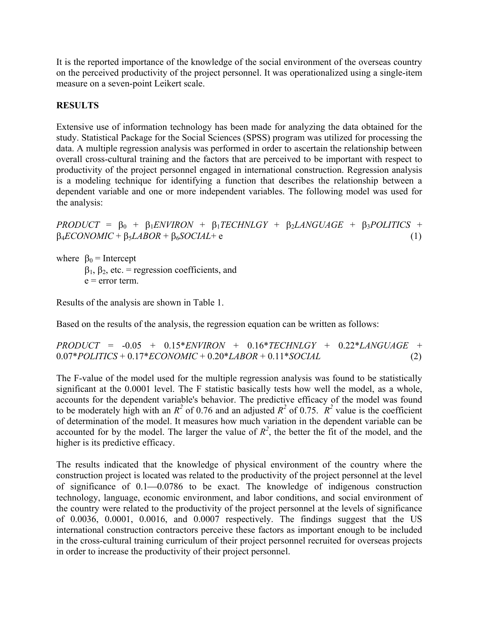It is the reported importance of the knowledge of the social environment of the overseas country on the perceived productivity of the project personnel. It was operationalized using a single-item measure on a seven-point Leikert scale.

# **RESULTS**

Extensive use of information technology has been made for analyzing the data obtained for the study. Statistical Package for the Social Sciences (SPSS) program was utilized for processing the data. A multiple regression analysis was performed in order to ascertain the relationship between overall cross-cultural training and the factors that are perceived to be important with respect to productivity of the project personnel engaged in international construction. Regression analysis is a modeling technique for identifying a function that describes the relationship between a dependent variable and one or more independent variables. The following model was used for the analysis:

 $PRODUCT = \beta_0 + \beta_1 ENVIRON + \beta_1 TECHNLGY + \beta_2 LANGUAGE + \beta_3 POLITICS +$  $\beta_4 ECONOMIC + \beta_5 LABOR + \beta_6 SOCIAL + e$  (1)

where  $\beta_0$  = Intercept  $β<sub>1</sub>, β<sub>2</sub>, etc. = regression coefficients, and$  $e = error term$ .

Results of the analysis are shown in Table 1.

Based on the results of the analysis, the regression equation can be written as follows:

*PRODUCT* = -0.05 + 0.15\**ENVIRON* + 0.16\**TECHNLGY* + 0.22\**LANGUAGE* + 0.07\**POLITICS* + 0.17\**ECONOMIC* + 0.20\**LABOR* + 0.11\**SOCIAL* (2)

The F-value of the model used for the multiple regression analysis was found to be statistically significant at the 0.0001 level. The F statistic basically tests how well the model, as a whole, accounts for the dependent variable's behavior. The predictive efficacy of the model was found to be moderately high with an  $R^2$  of 0.76 and an adjusted  $R^2$  of 0.75.  $R^2$  value is the coefficient of determination of the model. It measures how much variation in the dependent variable can be accounted for by the model. The larger the value of  $R^2$ , the better the fit of the model, and the higher is its predictive efficacy.

The results indicated that the knowledge of physical environment of the country where the construction project is located was related to the productivity of the project personnel at the level of significance of  $0.1-0.0786$  to be exact. The knowledge of indigenous construction technology, language, economic environment, and labor conditions, and social environment of the country were related to the productivity of the project personnel at the levels of significance of 0.0036, 0.0001, 0.0016, and 0.0007 respectively. The findings suggest that the US international construction contractors perceive these factors as important enough to be included in the cross-cultural training curriculum of their project personnel recruited for overseas projects in order to increase the productivity of their project personnel.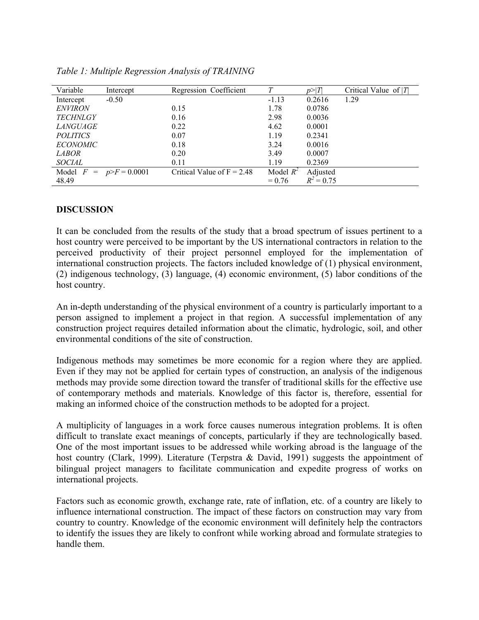| Variable        | Intercept                | Regression Coefficient       | Т           |              | Critical Value of $ T $ |
|-----------------|--------------------------|------------------------------|-------------|--------------|-------------------------|
| Intercept       | $-0.50$                  |                              | $-1.13$     | 0.2616       | 1.29                    |
| <b>ENVIRON</b>  |                          | 0.15                         | 1.78        | 0.0786       |                         |
| <b>TECHNLGY</b> |                          | 0.16                         | 2.98        | 0.0036       |                         |
| <i>LANGUAGE</i> |                          | 0.22                         | 4.62        | 0.0001       |                         |
| <i>POLITICS</i> |                          | 0.07                         | 1.19        | 0.2341       |                         |
| <i>ECONOMIC</i> |                          | 0.18                         | 3.24        | 0.0016       |                         |
| <i>LABOR</i>    |                          | 0.20                         | 3.49        | 0.0007       |                         |
| <i>SOCIAL</i>   |                          | 0.11                         | 1.19        | 0.2369       |                         |
|                 | Model $F = p>F = 0.0001$ | Critical Value of $F = 2.48$ | Model $R^2$ | Adjusted     |                         |
| 48.49           |                          |                              | $= 0.76$    | $R^2 = 0.75$ |                         |

*Table 1: Multiple Regression Analysis of TRAINING* 

### **DISCUSSION**

It can be concluded from the results of the study that a broad spectrum of issues pertinent to a host country were perceived to be important by the US international contractors in relation to the perceived productivity of their project personnel employed for the implementation of international construction projects. The factors included knowledge of (1) physical environment, (2) indigenous technology, (3) language, (4) economic environment, (5) labor conditions of the host country.

An in-depth understanding of the physical environment of a country is particularly important to a person assigned to implement a project in that region. A successful implementation of any construction project requires detailed information about the climatic, hydrologic, soil, and other environmental conditions of the site of construction.

Indigenous methods may sometimes be more economic for a region where they are applied. Even if they may not be applied for certain types of construction, an analysis of the indigenous methods may provide some direction toward the transfer of traditional skills for the effective use of contemporary methods and materials. Knowledge of this factor is, therefore, essential for making an informed choice of the construction methods to be adopted for a project.

A multiplicity of languages in a work force causes numerous integration problems. It is often difficult to translate exact meanings of concepts, particularly if they are technologically based. One of the most important issues to be addressed while working abroad is the language of the host country (Clark, 1999). Literature (Terpstra & David, 1991) suggests the appointment of bilingual project managers to facilitate communication and expedite progress of works on international projects.

Factors such as economic growth, exchange rate, rate of inflation, etc. of a country are likely to influence international construction. The impact of these factors on construction may vary from country to country. Knowledge of the economic environment will definitely help the contractors to identify the issues they are likely to confront while working abroad and formulate strategies to handle them.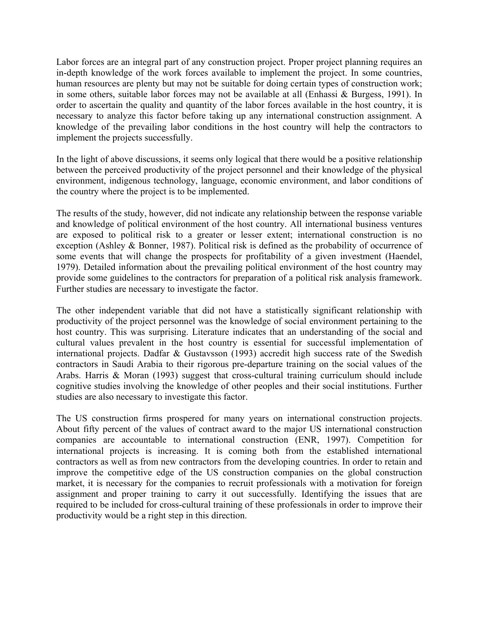Labor forces are an integral part of any construction project. Proper project planning requires an in-depth knowledge of the work forces available to implement the project. In some countries, human resources are plenty but may not be suitable for doing certain types of construction work; in some others, suitable labor forces may not be available at all (Enhassi & Burgess, 1991). In order to ascertain the quality and quantity of the labor forces available in the host country, it is necessary to analyze this factor before taking up any international construction assignment. A knowledge of the prevailing labor conditions in the host country will help the contractors to implement the projects successfully.

In the light of above discussions, it seems only logical that there would be a positive relationship between the perceived productivity of the project personnel and their knowledge of the physical environment, indigenous technology, language, economic environment, and labor conditions of the country where the project is to be implemented.

The results of the study, however, did not indicate any relationship between the response variable and knowledge of political environment of the host country. All international business ventures are exposed to political risk to a greater or lesser extent; international construction is no exception (Ashley & Bonner, 1987). Political risk is defined as the probability of occurrence of some events that will change the prospects for profitability of a given investment (Haendel, 1979). Detailed information about the prevailing political environment of the host country may provide some guidelines to the contractors for preparation of a political risk analysis framework. Further studies are necessary to investigate the factor.

The other independent variable that did not have a statistically significant relationship with productivity of the project personnel was the knowledge of social environment pertaining to the host country. This was surprising. Literature indicates that an understanding of the social and cultural values prevalent in the host country is essential for successful implementation of international projects. Dadfar & Gustavsson (1993) accredit high success rate of the Swedish contractors in Saudi Arabia to their rigorous pre-departure training on the social values of the Arabs. Harris & Moran (1993) suggest that cross-cultural training curriculum should include cognitive studies involving the knowledge of other peoples and their social institutions. Further studies are also necessary to investigate this factor.

The US construction firms prospered for many years on international construction projects. About fifty percent of the values of contract award to the major US international construction companies are accountable to international construction (ENR, 1997). Competition for international projects is increasing. It is coming both from the established international contractors as well as from new contractors from the developing countries. In order to retain and improve the competitive edge of the US construction companies on the global construction market, it is necessary for the companies to recruit professionals with a motivation for foreign assignment and proper training to carry it out successfully. Identifying the issues that are required to be included for cross-cultural training of these professionals in order to improve their productivity would be a right step in this direction.